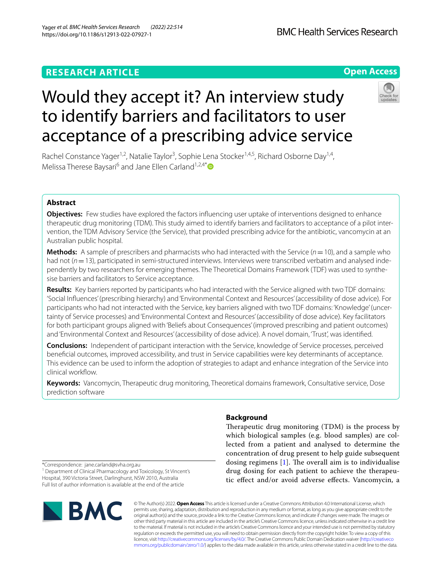## **RESEARCH ARTICLE**

## **Open Access**



# Would they accept it? An interview study to identify barriers and facilitators to user acceptance of a prescribing advice service

Rachel Constance Yager<sup>1,2</sup>, Natalie Taylor<sup>3</sup>, Sophie Lena Stocker<sup>1,4,5</sup>, Richard Osborne Day<sup>1,4</sup>, Melissa Therese Baysari<sup>6</sup> and Jane Ellen Carland<sup>1,2,4[\\*](http://orcid.org/0000-0002-1456-876X)</sup>

## **Abstract**

**Objectives:** Few studies have explored the factors infuencing user uptake of interventions designed to enhance therapeutic drug monitoring (TDM). This study aimed to identify barriers and facilitators to acceptance of a pilot intervention, the TDM Advisory Service (the Service), that provided prescribing advice for the antibiotic, vancomycin at an Australian public hospital.

**Methods:** A sample of prescribers and pharmacists who had interacted with the Service (*n*=10), and a sample who had not ( $n=13$ ), participated in semi-structured interviews. Interviews were transcribed verbatim and analysed independently by two researchers for emerging themes. The Theoretical Domains Framework (TDF) was used to synthesise barriers and facilitators to Service acceptance.

**Results:** Key barriers reported by participants who had interacted with the Service aligned with two TDF domains: 'Social Infuences' (prescribing hierarchy) and 'Environmental Context and Resources' (accessibility of dose advice). For participants who had not interacted with the Service, key barriers aligned with two TDF domains: 'Knowledge' (uncertainty of Service processes) and 'Environmental Context and Resources' (accessibility of dose advice). Key facilitators for both participant groups aligned with 'Beliefs about Consequences' (improved prescribing and patient outcomes) and 'Environmental Context and Resources' (accessibility of dose advice). A novel domain, 'Trust', was identifed.

**Conclusions:** Independent of participant interaction with the Service, knowledge of Service processes, perceived benefcial outcomes, improved accessibility, and trust in Service capabilities were key determinants of acceptance. This evidence can be used to inform the adoption of strategies to adapt and enhance integration of the Service into clinical workflow.

**Keywords:** Vancomycin, Therapeutic drug monitoring, Theoretical domains framework, Consultative service, Dose prediction software

## **Background**

Therapeutic drug monitoring (TDM) is the process by which biological samples (e.g. blood samples) are collected from a patient and analysed to determine the concentration of drug present to help guide subsequent dosing regimens  $[1]$  $[1]$ . The overall aim is to individualise drug dosing for each patient to achieve the therapeutic efect and/or avoid adverse efects. Vancomycin, a

\*Correspondence: jane.carland@svha.org.au <sup>1</sup> Department of Clinical Pharmacology and Toxicology, St Vincent's Hospital, 390 Victoria Street, Darlinghurst, NSW 2010, Australia Full list of author information is available at the end of the article



© The Author(s) 2022. **Open Access** This article is licensed under a Creative Commons Attribution 4.0 International License, which permits use, sharing, adaptation, distribution and reproduction in any medium or format, as long as you give appropriate credit to the original author(s) and the source, provide a link to the Creative Commons licence, and indicate if changes were made. The images or other third party material in this article are included in the article's Creative Commons licence, unless indicated otherwise in a credit line to the material. If material is not included in the article's Creative Commons licence and your intended use is not permitted by statutory regulation or exceeds the permitted use, you will need to obtain permission directly from the copyright holder. To view a copy of this licence, visit [http://creativecommons.org/licenses/by/4.0/.](http://creativecommons.org/licenses/by/4.0/) The Creative Commons Public Domain Dedication waiver ([http://creativeco](http://creativecommons.org/publicdomain/zero/1.0/) [mmons.org/publicdomain/zero/1.0/](http://creativecommons.org/publicdomain/zero/1.0/)) applies to the data made available in this article, unless otherwise stated in a credit line to the data.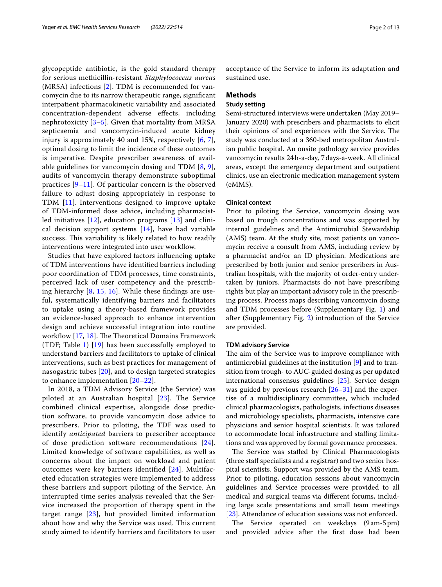glycopeptide antibiotic, is the gold standard therapy for serious methicillin-resistant *Staphylococcus aureus* (MRSA) infections [[2\]](#page-11-1). TDM is recommended for vancomycin due to its narrow therapeutic range, signifcant interpatient pharmacokinetic variability and associated concentration-dependent adverse efects, including nephrotoxicity  $[3-5]$  $[3-5]$ . Given that mortality from MRSA septicaemia and vancomycin-induced acute kidney injury is approximately 40 and 15%, respectively [\[6](#page-11-4), [7\]](#page-11-5), optimal dosing to limit the incidence of these outcomes is imperative. Despite prescriber awareness of available guidelines for vancomycin dosing and TDM [[8,](#page-11-6) [9\]](#page-11-7), audits of vancomycin therapy demonstrate suboptimal practices  $[9-11]$  $[9-11]$  $[9-11]$ . Of particular concern is the observed failure to adjust dosing appropriately in response to TDM [[11\]](#page-11-8). Interventions designed to improve uptake of TDM-informed dose advice, including pharmacistled initiatives [[12](#page-11-9)], education programs [[13\]](#page-11-10) and clinical decision support systems [\[14](#page-11-11)], have had variable success. This variability is likely related to how readily interventions were integrated into user workflow.

Studies that have explored factors infuencing uptake of TDM interventions have identifed barriers including poor coordination of TDM processes, time constraints, perceived lack of user competency and the prescribing hierarchy [[8,](#page-11-6) [15](#page-11-12), [16](#page-11-13)]. While these fndings are useful, systematically identifying barriers and facilitators to uptake using a theory-based framework provides an evidence-based approach to enhance intervention design and achieve successful integration into routine workflow  $[17, 18]$  $[17, 18]$  $[17, 18]$  $[17, 18]$ . The Theoretical Domains Framework (TDF; Table [1\)](#page-2-0) [[19\]](#page-11-16) has been successfully employed to understand barriers and facilitators to uptake of clinical interventions, such as best practices for management of nasogastric tubes [[20\]](#page-11-17), and to design targeted strategies to enhance implementation [\[20](#page-11-17)[–22](#page-11-18)].

In 2018, a TDM Advisory Service (the Service) was piloted at an Australian hospital [\[23\]](#page-11-19). The Service combined clinical expertise, alongside dose prediction software, to provide vancomycin dose advice to prescribers. Prior to piloting, the TDF was used to identify *anticipated* barriers to prescriber acceptance of dose prediction software recommendations [[24\]](#page-11-20). Limited knowledge of software capabilities, as well as concerns about the impact on workload and patient outcomes were key barriers identified [[24](#page-11-20)]. Multifaceted education strategies were implemented to address these barriers and support piloting of the Service. An interrupted time series analysis revealed that the Service increased the proportion of therapy spent in the target range [[23\]](#page-11-19), but provided limited information about how and why the Service was used. This current study aimed to identify barriers and facilitators to user acceptance of the Service to inform its adaptation and sustained use.

#### **Methods**

#### **Study setting**

Semi-structured interviews were undertaken (May 2019– January 2020) with prescribers and pharmacists to elicit their opinions of and experiences with the Service. The study was conducted at a 360-bed metropolitan Australian public hospital. An onsite pathology service provides vancomycin results 24h-a-day, 7days-a-week. All clinical areas, except the emergency department and outpatient clinics, use an electronic medication management system (eMMS).

#### **Clinical context**

Prior to piloting the Service, vancomycin dosing was based on trough concentrations and was supported by internal guidelines and the Antimicrobial Stewardship (AMS) team. At the study site, most patients on vancomycin receive a consult from AMS, including review by a pharmacist and/or an ID physician. Medications are prescribed by both junior and senior prescribers in Australian hospitals, with the majority of order-entry undertaken by juniors. Pharmacists do not have prescribing rights but play an important advisory role in the prescribing process. Process maps describing vancomycin dosing and TDM processes before (Supplementary Fig. [1](#page-10-0)) and after (Supplementary Fig. [2](#page-10-0)) introduction of the Service are provided.

#### **TDM advisory Service**

The aim of the Service was to improve compliance with antimicrobial guidelines at the institution [\[9](#page-11-7)] and to transition from trough- to AUC-guided dosing as per updated international consensus guidelines [[25\]](#page-11-21). Service design was guided by previous research  $[26-31]$  $[26-31]$  $[26-31]$  and the expertise of a multidisciplinary committee, which included clinical pharmacologists, pathologists, infectious diseases and microbiology specialists, pharmacists, intensive care physicians and senior hospital scientists. It was tailored to accommodate local infrastructure and stafng limitations and was approved by formal governance processes.

The Service was staffed by Clinical Pharmacologists (three staff specialists and a registrar) and two senior hospital scientists. Support was provided by the AMS team. Prior to piloting, education sessions about vancomycin guidelines and Service processes were provided to all medical and surgical teams via diferent forums, including large scale presentations and small team meetings [[23\]](#page-11-19). Attendance of education sessions was not enforced.

The Service operated on weekdays (9 am-5 pm) and provided advice after the frst dose had been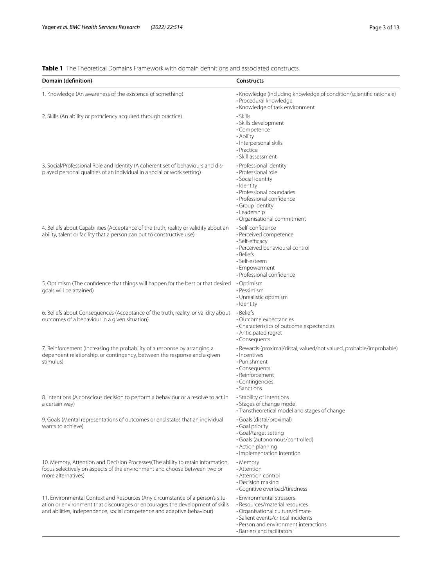### <span id="page-2-0"></span>**Table 1** The Theoretical Domains Framework with domain defnitions and associated constructs

| Domain (definition)                                                                                                                                                                                                                      | <b>Constructs</b>                                                                                                                                                                                              |
|------------------------------------------------------------------------------------------------------------------------------------------------------------------------------------------------------------------------------------------|----------------------------------------------------------------------------------------------------------------------------------------------------------------------------------------------------------------|
| 1. Knowledge (An awareness of the existence of something)                                                                                                                                                                                | • Knowledge (including knowledge of condition/scientific rationale)<br>· Procedural knowledge<br>• Knowledge of task environment                                                                               |
| 2. Skills (An ability or proficiency acquired through practice)                                                                                                                                                                          | • Skills<br>· Skills development<br>· Competence<br>• Ability<br>· Interpersonal skills<br>· Practice<br>• Skill assessment                                                                                    |
| 3. Social/Professional Role and Identity (A coherent set of behaviours and dis-<br>played personal qualities of an individual in a social or work setting)                                                                               | • Professional identity<br>• Professional role<br>· Social identity<br>• Identity<br>• Professional boundaries<br>• Professional confidence<br>· Group identity<br>• Leadership<br>· Organisational commitment |
| 4. Beliefs about Capabilities (Acceptance of the truth, reality or validity about an<br>ability, talent or facility that a person can put to constructive use)                                                                           | · Self-confidence<br>· Perceived competence<br>• Self-efficacy<br>• Perceived behavioural control<br>• Beliefs<br>• Self-esteem<br>· Empowerment<br>· Professional confidence                                  |
| 5. Optimism (The confidence that things will happen for the best or that desired<br>goals will be attained)                                                                                                                              | • Optimism<br>• Pessimism<br>• Unrealistic optimism<br>• Identity                                                                                                                                              |
| 6. Beliefs about Consequences (Acceptance of the truth, reality, or validity about<br>outcomes of a behaviour in a given situation)                                                                                                      | • Beliefs<br>• Outcome expectancies<br>• Characteristics of outcome expectancies<br>• Anticipated regret<br>• Consequents                                                                                      |
| 7. Reinforcement (Increasing the probability of a response by arranging a<br>dependent relationship, or contingency, between the response and a given<br>stimulus)                                                                       | · Rewards (proximal/distal, valued/not valued, probable/improbable)<br>· Incentives<br>• Punishment<br>• Consequents<br>• Reinforcement<br>• Contingencies<br>• Sanctions                                      |
| 8. Intentions (A conscious decision to perform a behaviour or a resolve to act in<br>a certain way)                                                                                                                                      | · Stability of intentions<br>• Stages of change model<br>• Transtheoretical model and stages of change                                                                                                         |
| 9. Goals (Mental representations of outcomes or end states that an individual<br>wants to achieve)                                                                                                                                       | • Goals (distal/proximal)<br>· Goal priority<br>· Goal/target setting<br>· Goals (autonomous/controlled)<br>• Action planning<br>· Implementation intention                                                    |
| 10. Memory, Attention and Decision Processes (The ability to retain information,<br>focus selectively on aspects of the environment and choose between two or<br>more alternatives)                                                      | • Memory<br>• Attention<br>• Attention control<br>• Decision making<br>• Cognitive overload/tiredness                                                                                                          |
| 11. Environmental Context and Resources (Any circumstance of a person's situ-<br>ation or environment that discourages or encourages the development of skills<br>and abilities, independence, social competence and adaptive behaviour) | • Environmental stressors<br>• Resources/material resources<br>· Organisational culture/climate<br>· Salient events/critical incidents<br>• Person and environment interactions<br>• Barriers and facilitators |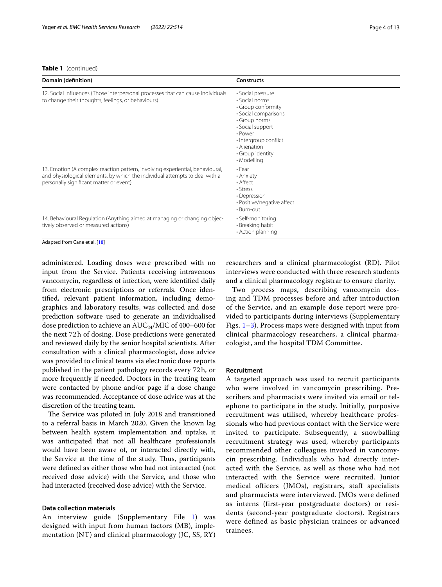#### **Table 1** (continued)

| Domain (definition)                                                                                                                                                                                     | <b>Constructs</b>                                                                                                                                                                                             |
|---------------------------------------------------------------------------------------------------------------------------------------------------------------------------------------------------------|---------------------------------------------------------------------------------------------------------------------------------------------------------------------------------------------------------------|
| 12. Social Influences (Those interpersonal processes that can cause individuals<br>to change their thoughts, feelings, or behaviours)                                                                   | • Social pressure<br>• Social norms<br>• Group conformity<br>• Social comparisons<br>• Group norms<br>• Social support<br>• Power<br>• Intergroup conflict<br>• Alienation<br>• Group identity<br>• Modelling |
| 13. Emotion (A complex reaction pattern, involving experiential, behavioural,<br>and physiological elements, by which the individual attempts to deal with a<br>personally significant matter or event) | $\cdot$ Fear<br>• Anxiety<br>• Affect<br>• Stress<br>• Depression<br>• Positive/negative affect<br>$\cdot$ Burn-out                                                                                           |
| 14. Behavioural Regulation (Anything aimed at managing or changing objec-<br>tively observed or measured actions)                                                                                       | • Self-monitoring<br>• Breaking habit<br>• Action planning                                                                                                                                                    |

Adapted from Cane et al. [\[18](#page-11-15)]

administered. Loading doses were prescribed with no input from the Service. Patients receiving intravenous vancomycin, regardless of infection, were identifed daily from electronic prescriptions or referrals. Once identifed, relevant patient information, including demographics and laboratory results, was collected and dose prediction software used to generate an individualised dose prediction to achieve an  $AUC_{24}/MIC$  of 400–600 for the next 72h of dosing. Dose predictions were generated and reviewed daily by the senior hospital scientists. After consultation with a clinical pharmacologist, dose advice was provided to clinical teams via electronic dose reports published in the patient pathology records every 72h, or more frequently if needed. Doctors in the treating team were contacted by phone and/or page if a dose change was recommended. Acceptance of dose advice was at the discretion of the treating team.

The Service was piloted in July 2018 and transitioned to a referral basis in March 2020. Given the known lag between health system implementation and uptake, it was anticipated that not all healthcare professionals would have been aware of, or interacted directly with, the Service at the time of the study. Thus, participants were defned as either those who had not interacted (not received dose advice) with the Service, and those who had interacted (received dose advice) with the Service.

#### **Data collection materials**

An interview guide (Supplementary File [1\)](#page-10-0) was designed with input from human factors (MB), implementation (NT) and clinical pharmacology (JC, SS, RY) researchers and a clinical pharmacologist (RD). Pilot interviews were conducted with three research students and a clinical pharmacology registrar to ensure clarity.

Two process maps, describing vancomycin dosing and TDM processes before and after introduction of the Service, and an example dose report were provided to participants during interviews (Supplementary Figs.  $1-3$ ). Process maps were designed with input from clinical pharmacology researchers, a clinical pharmacologist, and the hospital TDM Committee.

#### **Recruitment**

A targeted approach was used to recruit participants who were involved in vancomycin prescribing. Prescribers and pharmacists were invited via email or telephone to participate in the study. Initially, purposive recruitment was utilised, whereby healthcare professionals who had previous contact with the Service were invited to participate. Subsequently, a snowballing recruitment strategy was used, whereby participants recommended other colleagues involved in vancomycin prescribing. Individuals who had directly interacted with the Service, as well as those who had not interacted with the Service were recruited. Junior medical officers (JMOs), registrars, staff specialists and pharmacists were interviewed. JMOs were defined as interns (first-year postgraduate doctors) or residents (second-year postgraduate doctors). Registrars were defined as basic physician trainees or advanced trainees.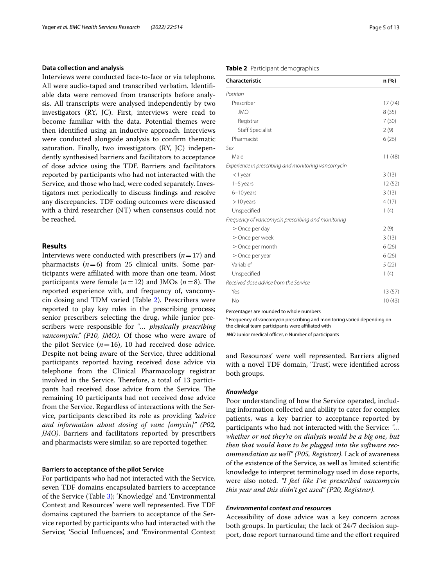#### **Data collection and analysis**

Interviews were conducted face-to-face or via telephone. All were audio-taped and transcribed verbatim. Identifable data were removed from transcripts before analysis. All transcripts were analysed independently by two investigators (RY, JC). First, interviews were read to become familiar with the data. Potential themes were then identifed using an inductive approach. Interviews were conducted alongside analysis to confrm thematic saturation. Finally, two investigators (RY, JC) independently synthesised barriers and facilitators to acceptance of dose advice using the TDF. Barriers and facilitators reported by participants who had not interacted with the Service, and those who had, were coded separately. Investigators met periodically to discuss fndings and resolve any discrepancies. TDF coding outcomes were discussed with a third researcher (NT) when consensus could not be reached.

#### **Results**

Interviews were conducted with prescribers  $(n=17)$  and pharmacists  $(n=6)$  from 25 clinical units. Some participants were afliated with more than one team. Most participants were female  $(n=12)$  and JMOs  $(n=8)$ . The reported experience with, and frequency of, vancomycin dosing and TDM varied (Table [2](#page-4-0)). Prescribers were reported to play key roles in the prescribing process; senior prescribers selecting the drug, while junior prescribers were responsible for "*… physically prescribing vancomycin." (P10, JMO)*. Of those who were aware of the pilot Service  $(n=16)$ , 10 had received dose advice. Despite not being aware of the Service, three additional participants reported having received dose advice via telephone from the Clinical Pharmacology registrar involved in the Service. Therefore, a total of 13 participants had received dose advice from the Service. The remaining 10 participants had not received dose advice from the Service. Regardless of interactions with the Service, participants described its role as providing *"advice and information about dosing of vanc [omycin]" (P02, JMO)*. Barriers and facilitators reported by prescribers and pharmacists were similar, so are reported together.

#### **Barriers to acceptance of the pilot Service**

For participants who had not interacted with the Service, seven TDF domains encapsulated barriers to acceptance of the Service (Table [3](#page-5-0)); 'Knowledge' and 'Environmental Context and Resources' were well represented. Five TDF domains captured the barriers to acceptance of the Service reported by participants who had interacted with the Service; 'Social Infuences', and 'Environmental Context

#### <span id="page-4-0"></span>**Table 2** Participant demographics

| Characteristic                                      | n (%)  |
|-----------------------------------------------------|--------|
| Position                                            |        |
| Prescriber                                          | 17(74) |
| <b>JMO</b>                                          | 8(35)  |
| Registrar                                           | 7(30)  |
| <b>Staff Specialist</b>                             | 2(9)   |
| Pharmacist                                          | 6(26)  |
| Sex                                                 |        |
| Male                                                | 11(48) |
| Experience in prescribing and monitoring vancomycin |        |
| <1 year                                             | 3(13)  |
| $1-5$ years                                         | 12(52) |
| 6-10 years                                          | 3(13)  |
| $>10$ years                                         | 4(17)  |
| Unspecified                                         | 1(4)   |
| Frequency of vancomycin prescribing and monitoring  |        |
| $\geq$ Once per day                                 | 2(9)   |
| $\geq$ Once per week                                | 3(13)  |
| $\geq$ Once per month                               | 6(26)  |
| $\geq$ Once per year                                | 6(26)  |
| Variable <sup>a</sup>                               | 5(22)  |
| Unspecified                                         | 1(4)   |
| Received dose advice from the Service               |        |
| Yes                                                 | 13(57) |
| No                                                  | 10(43) |

Percentages are rounded to whole numbers

<sup>a</sup> Frequency of vancomycin prescribing and monitoring varied depending on the clinical team participants were affiliated with

*JMO* Junior medical officer, *n* Number of participants

and Resources' were well represented. Barriers aligned with a novel TDF domain, 'Trust', were identifed across both groups.

#### *Knowledge*

Poor understanding of how the Service operated, including information collected and ability to cater for complex patients, was a key barrier to acceptance reported by participants who had not interacted with the Service: *"… whether or not they're on dialysis would be a big one, but then that would have to be plugged into the software recommendation as well" (P05, Registrar)*. Lack of awareness of the existence of the Service, as well as limited scientifc knowledge to interpret terminology used in dose reports, were also noted. *"I feel like I've prescribed vancomycin this year and this didn't get used" (P20, Registrar)*.

#### *Environmental context and resources*

Accessibility of dose advice was a key concern across both groups. In particular, the lack of 24/7 decision support, dose report turnaround time and the effort required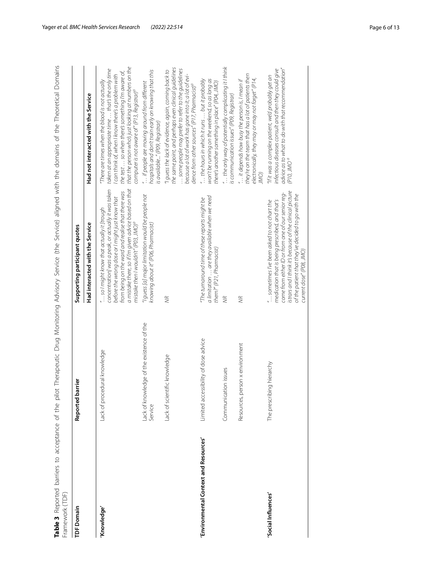<span id="page-5-0"></span>

| Framework (TDF)                       |                                                      | Table 3 Reported barriers to acceptance of the pilot Therapeutic Drug Advisory Service (the Service) aligned with the domains of the Theoretical Domains                                                                                                                                                             |                                                                                                                                                                                                                                                                                                                                  |
|---------------------------------------|------------------------------------------------------|----------------------------------------------------------------------------------------------------------------------------------------------------------------------------------------------------------------------------------------------------------------------------------------------------------------------|----------------------------------------------------------------------------------------------------------------------------------------------------------------------------------------------------------------------------------------------------------------------------------------------------------------------------------|
| <b>TDF</b> Domain                     | parrier<br>Reported                                  | Supporting participant quotes                                                                                                                                                                                                                                                                                        |                                                                                                                                                                                                                                                                                                                                  |
|                                       |                                                      | Had interacted with the Service                                                                                                                                                                                                                                                                                      | Had not interacted with the Service                                                                                                                                                                                                                                                                                              |
| 'Knowledge'                           | Lack of procedural knowledge                         | a mistake there, so if I'm given advice based on that<br>concentration] was a peak, or actually it was taken<br>from being on the ward and realise that there was<br>before the wrong dose or I might just know that<br>so I might know that actually it [trough<br>mistake then I wouldn't" (P03, JMO) <sup>a</sup> | that the person who's just looking at numbers on the<br>taken at an appropriate time  that's the only time<br>the test  so when there's something I'm aware of,<br>can think of, when I know there's a problem with<br>There are times when the blood is not actually<br>computer is not aware of" (P13, Registrar) <sup>a</sup> |
|                                       | Lack of knowledge of the existence of the<br>Service | "I guess [a] major limitation would be people not<br>knowing about it" (P06, Pharmacist)                                                                                                                                                                                                                             | hospitals and don't train early on knowing that this<br>" if people are moving around from different<br>is available" (P09, Registrar)                                                                                                                                                                                           |
|                                       | Lack of scientific knowledge                         | WR                                                                                                                                                                                                                                                                                                                   | the same point, and perhaps even clinical guidelines.<br>some people may prefer to refer to the quidelines<br>"I guess the lack of evidence, again, coming back to<br>because a lot of work has gone into it; a lot of evi-<br>dence from other sources" (P17, Pharmacist) <sup>a</sup>                                          |
| 'Environmental Context and Resources' | Limited accessibility of dose advice                 | a limitation  are they available when we need<br>"The turnaround time of these reports might be<br>them?" (P21, Pharmacist)                                                                                                                                                                                          | $\H$ the hours in which it runs $$ but it probably<br>won't be running on the weekend, so as long as<br>there's another something in place" (P04, JMO)                                                                                                                                                                           |
|                                       | Communication issues                                 | WR                                                                                                                                                                                                                                                                                                                   | " the only way of potentially complicating it I think<br>is communication issues" (P09, Registrar)                                                                                                                                                                                                                               |
|                                       | person x environment<br>Resources,                   | WR                                                                                                                                                                                                                                                                                                                   | they're on the team that has a lot of patients then<br>electronically, they may or may not forget" (P14,<br>$\therefore$ it depends how busy the person is, I mean if<br><b>JMO</b>                                                                                                                                              |
| 'Social Influences'                   | The prescribing hierarchy                            | istrars and I think it's because of the clinical picture<br>come from either ID or from one of our senior req-<br>of the patient that they've decided to go with the<br>medication that is being prescribed, and that's<br>" sometimes I've been asked to not chart the<br>current dose" (P08, JMO)                  | advice as to what to do with that recommendation"<br>(P10, JMO <sup>a</sup><br>infectious diseases consult and then they could give<br>"If it was a complex patient, we'd probably get an                                                                                                                                        |

Yager *et al. BMC Health Services Research (2022) 22:514* Page 6 of 13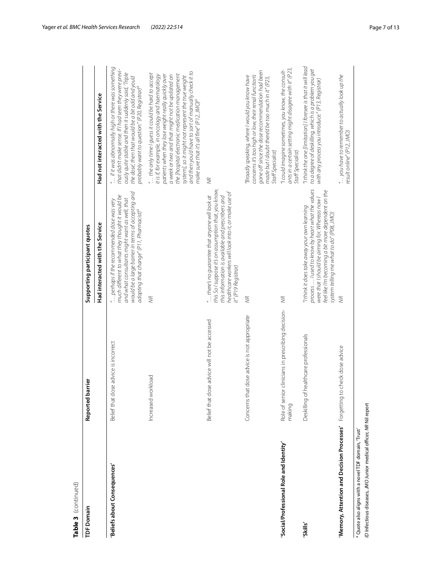| Table 3 (continued)                                                                                                                  |                                                              |                                                                                                                                                                                                                                                              |                                                                                                                                                                                                                                                                                                                                                                                                                                          |
|--------------------------------------------------------------------------------------------------------------------------------------|--------------------------------------------------------------|--------------------------------------------------------------------------------------------------------------------------------------------------------------------------------------------------------------------------------------------------------------|------------------------------------------------------------------------------------------------------------------------------------------------------------------------------------------------------------------------------------------------------------------------------------------------------------------------------------------------------------------------------------------------------------------------------------------|
| <b>TDF Domain</b>                                                                                                                    | barrier<br>Reported                                          | Supporting participant quotes                                                                                                                                                                                                                                |                                                                                                                                                                                                                                                                                                                                                                                                                                          |
|                                                                                                                                      |                                                              | Had interacted with the Service                                                                                                                                                                                                                              | Had not interacted with the Service                                                                                                                                                                                                                                                                                                                                                                                                      |
| 'Beliefs about Consequences'                                                                                                         | dose advice is incorrect<br>Belief that                      | would be a large barrier in terms of accepting and<br>much different to what they thought it would be<br>and what consultants might want as well, that<br>" perhaps if the recommended dose was very<br>adopting that change" (P11, Pharmacist) <sup>a</sup> | " if it was abnormally high or there was something<br>that didn't make sense. If I had seen they were previ-<br>ously quite stable and then it suddenly said, 'Triple<br>the dose, then that would be a bit odd and you'd<br>probably want to question." (P20, Registrar) <sup>a</sup>                                                                                                                                                   |
|                                                                                                                                      | workload<br>Increased                                        | WR                                                                                                                                                                                                                                                           | and then you'd have to sort of manually check it to<br>" the only time I guess it could be hard to accept<br>the [hospital electronic medication management<br>patients when they lose weight really quickly over<br>it is if, for example, in oncology and haematology<br>a week or two and that might not be updated on<br>system], so it might not represent the true weight<br>make sure that it's all fine" (P12, JMO) <sup>a</sup> |
|                                                                                                                                      | dose advice will not be accessed<br>Belief that              | this So I suppose it's on assumption that, you know,<br>healthcare workers will look into it, or make use of<br>this information is available and prescribers and<br>" there's no guarantee that anyone will look at<br>it" (P19 Registrar)                  | <b>SK</b>                                                                                                                                                                                                                                                                                                                                                                                                                                |
|                                                                                                                                      | Concerns that dose advice is not appropriate                 | WR                                                                                                                                                                                                                                                           | gone off since the dose recommendation had been<br>concerns it's too high or low, their renal function's<br>Broadly speaking, where I would you know have<br>made but I doubt there'd be too much in it" (P23,<br>Staff Specialist)                                                                                                                                                                                                      |
| 'Social/Professional Role and Identity                                                                                               | Role of senior clinicians in prescribing decision-<br>making | <b>SK</b>                                                                                                                                                                                                                                                    | ants in a certain setting might disagree with it" (P23,<br>"I could imagine sometimes, you know, the consult-<br>Staff Specialist)                                                                                                                                                                                                                                                                                                       |
| 'Skills'                                                                                                                             | of healthcare professionals<br>Deskilling                    | process  I used to know by heart what the values<br>feel like I'm becoming a bit more dependent on the<br>were that I should be aiming for. Whereas now I<br>If think it does take away your own learning<br>system telling me what to do" (P08, JMO)        | "I think the one [limitation] I foresee is that it will lead<br>to a degree of deskilling, which is a problem you get<br>with any process you introduce." (P13, Registrar)                                                                                                                                                                                                                                                               |
| 'Memory, Attention and Decision Processes'                                                                                           | to check dose advice<br>Forgetting                           | \$                                                                                                                                                                                                                                                           | " you have to remember to actually look up the<br>result online" (P12, JMO)                                                                                                                                                                                                                                                                                                                                                              |
| ID Infectious diseases, JMO Junior medical officer, NR Nil report<br><sup>a</sup> Quote also aligns with a novel TDF domain, 'Trust' |                                                              |                                                                                                                                                                                                                                                              |                                                                                                                                                                                                                                                                                                                                                                                                                                          |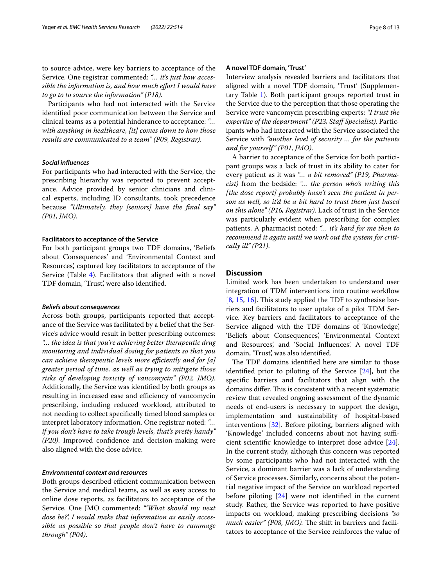to source advice, were key barriers to acceptance of the Service. One registrar commented: *"… it's just how accessible the information is, and how much efort I would have to go to to source the information" (P18)*.

Participants who had not interacted with the Service identifed poor communication between the Service and clinical teams as a potential hinderance to acceptance: *"… with anything in healthcare, [it] comes down to how those results are communicated to a team" (P09, Registrar)*.

#### *Social infuences*

For participants who had interacted with the Service, the prescribing hierarchy was reported to prevent acceptance. Advice provided by senior clinicians and clinical experts, including ID consultants, took precedence because *"Ultimately, they [seniors] have the fnal say" (P01, JMO)*.

#### **Facilitators to acceptance of the Service**

For both participant groups two TDF domains, 'Beliefs about Consequences' and 'Environmental Context and Resources', captured key facilitators to acceptance of the Service (Table [4\)](#page-8-0). Facilitators that aligned with a novel TDF domain, 'Trust', were also identifed.

#### *Beliefs about consequences*

Across both groups, participants reported that acceptance of the Service was facilitated by a belief that the Service's advice would result in better prescribing outcomes: *"… the idea is that you're achieving better therapeutic drug monitoring and individual dosing for patients so that you can achieve therapeutic levels more efficiently and for [a] greater period of time, as well as trying to mitigate those risks of developing toxicity of vancomycin" (P02, JMO)*. Additionally, the Service was identifed by both groups as resulting in increased ease and efficiency of vancomycin prescribing, including reduced workload, attributed to not needing to collect specifcally timed blood samples or interpret laboratory information. One registrar noted: *"… if you don't have to take trough levels, that's pretty handy" (P20)*. Improved confdence and decision-making were also aligned with the dose advice.

#### *Environmental context and resources*

Both groups described efficient communication between the Service and medical teams, as well as easy access to online dose reports, as facilitators to acceptance of the Service. One JMO commented: *"'What should my next dose be?', I would make that information as easily accessible as possible so that people don't have to rummage through" (P04)*.

#### **A novel TDF domain, 'Trust'**

Interview analysis revealed barriers and facilitators that aligned with a novel TDF domain, 'Trust' (Supplementary Table [1](#page-10-0)). Both participant groups reported trust in the Service due to the perception that those operating the Service were vancomycin prescribing experts: *"I trust the expertise of the department" (P23, Staf Specialist)*. Participants who had interacted with the Service associated the Service with *"another level of security … for the patients and for yourself" (P01, JMO)*.

A barrier to acceptance of the Service for both participant groups was a lack of trust in its ability to cater for every patient as it was *"… a bit removed" (P19, Pharmacist)* from the bedside: *"… the person who's writing this [the dose report] probably hasn't seen the patient in person as well, so it'd be a bit hard to trust them just based on this alone" (P16, Registrar)*. Lack of trust in the Service was particularly evident when prescribing for complex patients. A pharmacist noted: *"… it's hard for me then to recommend it again until we work out the system for critically ill" (P21)*.

#### **Discussion**

Limited work has been undertaken to understand user integration of TDM interventions into routine workflow [[8,](#page-11-6) [15,](#page-11-12) [16\]](#page-11-13). This study applied the TDF to synthesise barriers and facilitators to user uptake of a pilot TDM Service. Key barriers and facilitators to acceptance of the Service aligned with the TDF domains of 'Knowledge', 'Beliefs about Consequences', 'Environmental Context and Resources', and 'Social Infuences'. A novel TDF domain, 'Trust', was also identifed.

The TDF domains identified here are similar to those identifed prior to piloting of the Service [\[24\]](#page-11-20), but the specifc barriers and facilitators that align with the domains differ. This is consistent with a recent systematic review that revealed ongoing assessment of the dynamic needs of end-users is necessary to support the design, implementation and sustainability of hospital-based interventions [[32](#page-12-1)]. Before piloting, barriers aligned with 'Knowledge' included concerns about not having sufficient scientifc knowledge to interpret dose advice [\[24](#page-11-20)]. In the current study, although this concern was reported by some participants who had not interacted with the Service, a dominant barrier was a lack of understanding of Service processes. Similarly, concerns about the potential negative impact of the Service on workload reported before piloting [[24](#page-11-20)] were not identifed in the current study. Rather, the Service was reported to have positive impacts on workload, making prescribing decisions *"so much easier" (P08, JMO)*. The shift in barriers and facilitators to acceptance of the Service reinforces the value of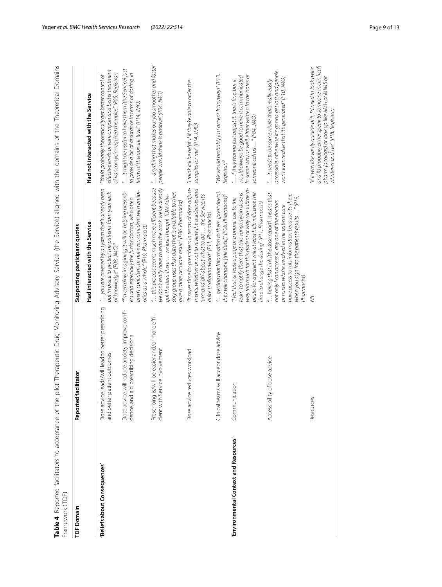<span id="page-8-0"></span>

| <b>TDF</b> Domain                     | facilitator<br>Reported                                                                    | Supporting participant quotes                                                                                                                                                                                                                                                 |                                                                                                                                                                                                                 |
|---------------------------------------|--------------------------------------------------------------------------------------------|-------------------------------------------------------------------------------------------------------------------------------------------------------------------------------------------------------------------------------------------------------------------------------|-----------------------------------------------------------------------------------------------------------------------------------------------------------------------------------------------------------------|
|                                       |                                                                                            | Had interacted with the Service                                                                                                                                                                                                                                               | Had not interacted with the Service                                                                                                                                                                             |
| Beliefs about Consequences'           | Dose advice leads/will lead to better prescribing<br>patient outcomes<br>and better        | " you are covered by a system that's already been<br>put in place to protect the patients from your lack<br>of knowledge" (P08, JMO) <sup>a</sup>                                                                                                                             | effective levels of vancomycin and better treatment<br>of vancomycin-required therapies" (P05, Registrar)<br>"You'd probably theoretically get better control of                                                |
|                                       | Dose advice will reduce anxiety, improve confi-<br>aid prescribing decisions<br>dence, and | aren't confident, or not even confident with antibi-<br>"I'm certainly imagining it will be helping prescrib-<br>ers and especially the junior doctors, who often<br>otics as a whole" (P19, Pharmacist)                                                                      | " it might be useful to have them [the Service] just<br>to provide a bit of assistance in terms of dosing, in<br>terms of therapeutic level" (P14, JMO)                                                         |
|                                       | Prescribing is/will be easier and/or more effi-<br>cient with Service involvement          | " this process seems much more efficient because<br>we don't really have to redo the work, we've already<br>sory group uses that data that is available to then<br>got the data there  we just thought TDM Advi-<br>give a more accurate result" (P06, Pharmacist)            | " anything that makes our job smoother and faster<br>people would think is positive" (P04, JMO)                                                                                                                 |
|                                       | Dose advice reduces workload                                                               | "It saves time for prescribers in terms of dose adjust-<br>ments, whether or not to review the guidelines and<br>'um' and 'ah' about what to do  the Service, it's<br>quite straightforward." (P11, Pharmacist)                                                               | "I think it'll be helpful if they're able to order the<br>samples for me" (P14, JMO)                                                                                                                            |
|                                       | Clinical teams will accept dose advice                                                     | " getting that information to them [prescribers],<br>they will change it [the dose]." (P06, Pharmacist) <sup>a</sup>                                                                                                                                                          | "We would probably just accept it anyways" (P13,<br>Registrar) <sup>a</sup>                                                                                                                                     |
| 'Environmental Context and Resources' | Communication                                                                              | way too much for this patient or way too subthera-<br>peutic for a patient will at least help influence the<br>team to notify them that this vancomycin dose is<br>"I feel that at least a page or a phone call to the<br>time to change the dosing" (P11, Pharmacist)        | in some way as well, either written in the notes or<br>would always be good to have it communicated<br>" if they wanna just adjust it, that's fine, but it<br>someone call us " (P04, JMO)                      |
|                                       | Accessibility of dose advice                                                               | " having that link [the dose report], means that<br>have access to this information because it's there<br>when you sign into the patient's results " (P19,<br>not only I can access it, any one of the doctors<br>or nurses who're involved in the patient care<br>Pharmacist | accessible, otherwise it's gonna get lost and people<br>won't even realise that it's generated" (P10, JMO)<br>" it needs to be somewhere that's really easily                                                   |
|                                       | Resources                                                                                  | <b>SK</b>                                                                                                                                                                                                                                                                     | and I'd probably either speak to someone in clin [ical]<br>"If it was like vastly outside of it, I'd need to look twice<br>pharm [acology] or look up like AMH or MIMS or<br>whatever and see" (P18, Registrar) |

Yager *et al. BMC Health Services Research (2022) 22:514* Page 9 of 13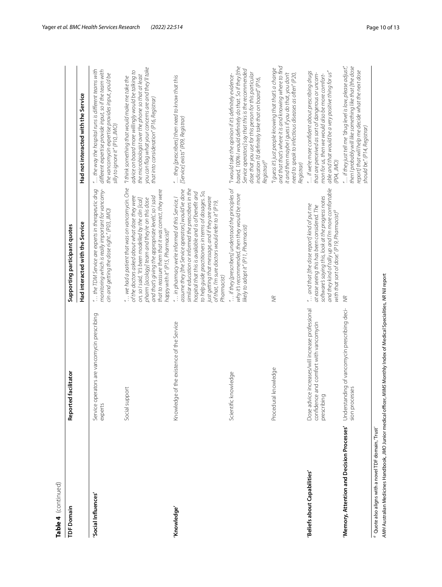| TDF Domain                                                      | Reported facilitator                                                                                                            | Supporting participant quotes                                                                                                                                                                                                                                                                                                                                                                          |                                                                                                                                                                                                                                                                                                                     |
|-----------------------------------------------------------------|---------------------------------------------------------------------------------------------------------------------------------|--------------------------------------------------------------------------------------------------------------------------------------------------------------------------------------------------------------------------------------------------------------------------------------------------------------------------------------------------------------------------------------------------------|---------------------------------------------------------------------------------------------------------------------------------------------------------------------------------------------------------------------------------------------------------------------------------------------------------------------|
|                                                                 |                                                                                                                                 | Had interacted with the Service                                                                                                                                                                                                                                                                                                                                                                        | Had not interacted with the Service                                                                                                                                                                                                                                                                                 |
| 'Social Influences'                                             | perators are vancomycin prescribing<br>Service op<br>experts                                                                    | monitoring which is really important for vancomy-<br>" the TDM Service are experts in therapeutic drug<br>cin and getting the dose right." (P03, JMO)                                                                                                                                                                                                                                                  | " the way the hospital runs is different teams with<br>different expertise provide input, so if the team with<br>the vancomycin expertise provides input, you'd be<br>silly to ignore it" (P10, JMO)                                                                                                                |
|                                                                 | Social support                                                                                                                  | " we had a patient that was on vancomycin. One<br>that to reassure them that it was correct, they were<br>of the doctors asked about what dose they were<br>and that's giving the appropriate levels', so I said<br>on, so I said, 'It's been modelled by the clin [ical]<br>pharm [acology] team and they're on this dose<br>happy with it" (P15, Pharmacist) <sup>a</sup>                            | you can flag what your concerns are and they'll take<br>advice on board more willingly would be talking to<br>the microbiologist over the phone so that at least<br>"I think something that would make me take the<br>that into consideration" (P16, Registrar)                                                     |
| 'Knowledge'                                                     | Knowledge of the existence of the Service                                                                                       | similar education or informed the prescribers in the<br>assume they [the Service operators] would've done<br>to help guide practitioners in terms of dosages. So,<br>hospital that this is available and is of benefit and<br>just getting that message, and if they are aware<br>" in pharmacy we're informed of this Service, I<br>of that, I'm sure doctors would refer to it" (P19,<br>Pharmacist) | " they [prescribers] then need to know that this<br>[Service] exists" (P09, Registrar)                                                                                                                                                                                                                              |
|                                                                 | Scientific knowledge                                                                                                            | " if they [prescribers] understood the principles of<br>why it's recommended, then they would be more<br>likely to adopt it" (P11, Pharmacist)                                                                                                                                                                                                                                                         | based, 100% I would definitely do that. So if they [the<br>Service operators] say that this is the recommended<br>dose that you use for this person for this particular<br>"I would take the opinion if it's definitely evidence-<br>indication I'd definitely take that on board" (P16,<br>Registrar) <sup>a</sup> |
|                                                                 | Procedural knowledge                                                                                                            | WR                                                                                                                                                                                                                                                                                                                                                                                                     | and that that's where it is and knowing where to find<br>"I guess it's just people knowing that that's a change<br>it and then maybe I guess if you do that, you don't<br>need to speak to infectious diseases as often" (P20,<br>Registrar)                                                                        |
| <b>Beliefs about Capabilities'</b>                              | Dose advice increases/will increase professional<br>se and comfort with vancomycin<br>$\overline{Q}$<br>confidenc<br>prescribin | and they kind of tally up and I'm more comfortable<br>software's saying this, look at the progress notes<br>" and that [the dose report] kind of put me<br>at ease seeing this has been considered. The<br>with that sort of dose." (P19, Pharmacist) <sup>a</sup>                                                                                                                                     | able and that would be a very positive thing for us"<br>" if we're more confident about prescribing drugs<br>that are perceived as sort of dangerous or uncom-<br>mon for us, then we would also be more comfort-<br>(PO4, JMO)                                                                                     |
|                                                                 | 'Memory, Attention and Decision Processes' Understanding of vancomycin prescribing deci-<br>sion processes                      | <b>SK</b>                                                                                                                                                                                                                                                                                                                                                                                              | then I probably will like something like that [the dose<br>" if they just tell me "drug level is low, please adjust",<br>report] that will help me decide what the next dose<br>should be." (P14, Registrar)                                                                                                        |
| <sup>a</sup> Quote also aligns with a novel TDF domain, 'Trust' |                                                                                                                                 |                                                                                                                                                                                                                                                                                                                                                                                                        |                                                                                                                                                                                                                                                                                                                     |

**Table 4**

(continued)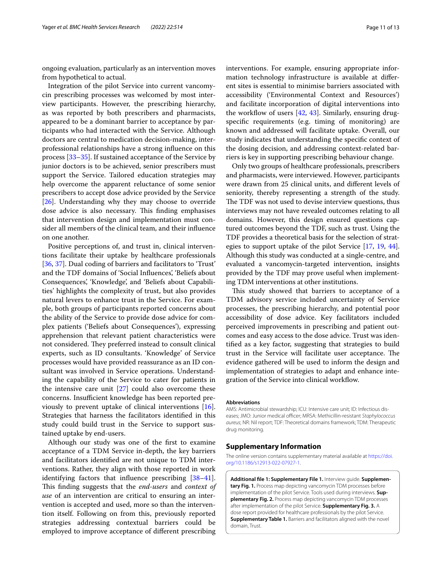ongoing evaluation, particularly as an intervention moves from hypothetical to actual.

Integration of the pilot Service into current vancomycin prescribing processes was welcomed by most interview participants. However, the prescribing hierarchy, as was reported by both prescribers and pharmacists, appeared to be a dominant barrier to acceptance by participants who had interacted with the Service. Although doctors are central to medication decision-making, interprofessional relationships have a strong infuence on this process [[33–](#page-12-2)[35\]](#page-12-3). If sustained acceptance of the Service by junior doctors is to be achieved, senior prescribers must support the Service. Tailored education strategies may help overcome the apparent reluctance of some senior prescribers to accept dose advice provided by the Service [[26\]](#page-11-22). Understanding why they may choose to override dose advice is also necessary. This finding emphasises that intervention design and implementation must consider all members of the clinical team, and their infuence on one another.

Positive perceptions of, and trust in, clinical interventions facilitate their uptake by healthcare professionals [[36,](#page-12-4) [37](#page-12-5)]. Dual coding of barriers and facilitators to 'Trust' and the TDF domains of 'Social Infuences', 'Beliefs about Consequences', 'Knowledge', and 'Beliefs about Capabilities' highlights the complexity of trust, but also provides natural levers to enhance trust in the Service. For example, both groups of participants reported concerns about the ability of the Service to provide dose advice for complex patients ('Beliefs about Consequences'), expressing apprehension that relevant patient characteristics were not considered. They preferred instead to consult clinical experts, such as ID consultants. 'Knowledge' of Service processes would have provided reassurance as an ID consultant was involved in Service operations. Understanding the capability of the Service to cater for patients in the intensive care unit  $[27]$  $[27]$  could also overcome these concerns. Insufficient knowledge has been reported previously to prevent uptake of clinical interventions [\[16](#page-11-13)]. Strategies that harness the facilitators identifed in this study could build trust in the Service to support sustained uptake by end-users.

Although our study was one of the frst to examine acceptance of a TDM Service in-depth, the key barriers and facilitators identifed are not unique to TDM interventions. Rather, they align with those reported in work identifying factors that infuence prescribing [[38](#page-12-6)[–41](#page-12-7)]. This finding suggests that the *end-users* and *context of use* of an intervention are critical to ensuring an intervention is accepted and used, more so than the intervention itself. Following on from this, previously reported strategies addressing contextual barriers could be employed to improve acceptance of diferent prescribing

interventions. For example, ensuring appropriate information technology infrastructure is available at diferent sites is essential to minimise barriers associated with accessibility ('Environmental Context and Resources') and facilitate incorporation of digital interventions into the workflow of users  $[42, 43]$  $[42, 43]$  $[42, 43]$  $[42, 43]$ . Similarly, ensuring drugspecifc requirements (e.g. timing of monitoring) are known and addressed will facilitate uptake. Overall, our study indicates that understanding the specifc context of the dosing decision, and addressing context-related barriers is key in supporting prescribing behaviour change.

Only two groups of healthcare professionals, prescribers and pharmacists, were interviewed. However, participants were drawn from 25 clinical units, and diferent levels of seniority, thereby representing a strength of the study. The TDF was not used to devise interview questions, thus interviews may not have revealed outcomes relating to all domains. However, this design ensured questions captured outcomes beyond the TDF, such as trust. Using the TDF provides a theoretical basis for the selection of strategies to support uptake of the pilot Service [[17](#page-11-14), [19,](#page-11-16) [44](#page-12-10)]. Although this study was conducted at a single-centre, and evaluated a vancomycin-targeted intervention, insights provided by the TDF may prove useful when implementing TDM interventions at other institutions.

This study showed that barriers to acceptance of a TDM advisory service included uncertainty of Service processes, the prescribing hierarchy, and potential poor accessibility of dose advice. Key facilitators included perceived improvements in prescribing and patient outcomes and easy access to the dose advice. Trust was identifed as a key factor, suggesting that strategies to build trust in the Service will facilitate user acceptance. The evidence gathered will be used to inform the design and implementation of strategies to adapt and enhance integration of the Service into clinical workflow.

#### **Abbreviations**

AMS: Antimicrobial stewardship; ICU: Intensive care unit; ID: Infectious diseases; JMO: Junior medical officer; MRSA: Methicillin-resistant Staphylococcus *aureus*; NR: Nil report; TDF: Theoretical domains framework; TDM: Therapeutic drug monitoring.

#### **Supplementary Information**

The online version contains supplementary material available at [https://doi.](https://doi.org/10.1186/s12913-022-07927-1) [org/10.1186/s12913-022-07927-1](https://doi.org/10.1186/s12913-022-07927-1).

<span id="page-10-0"></span>**Additional fle 1: Supplementary File 1.** Interview guide. **Supplementary Fig. 1.** Process map depicting vancomycin TDM processes before implementation of the pilot Service. Tools used during interviews. **Supplementary Fig. 2.** Process map depicting vancomycin TDM processes after implementation of the pilot Service. **Supplementary Fig. 3.** A dose report provided for healthcare professionals by the pilot Service. **Supplementary Table 1.** Barriers and facilitators aligned with the novel domain, Trust.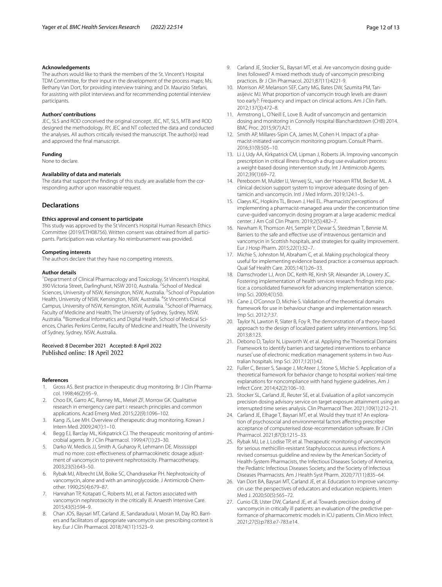#### **Acknowledgements**

The authors would like to thank the members of the St. Vincent's Hospital TDM Committee, for their input in the development of the process maps; Ms. Bethany Van Dort, for providing interview training; and Dr. Maurizio Stefani, for assisting with pilot interviews and for recommending potential interview participants.

#### **Authors' contributions**

JEC, SLS and ROD conceived the original concept. JEC, NT, SLS, MTB and ROD designed the methodology. RY, JEC and NT collected the data and conducted the analyses. All authors critically revised the manuscript. The author(s) read and approved the fnal manuscript.

#### **Funding**

None to declare.

#### **Availability of data and materials**

The data that support the fndings of this study are available from the corresponding author upon reasonable request.

#### **Declarations**

#### **Ethics approval and consent to participate**

This study was approved by the St Vincent's Hospital Human Research Ethics Committee (2019/ETH08756). Written consent was obtained from all participants. Participation was voluntary. No reimbursement was provided.

#### **Competing interests**

The authors declare that they have no competing interests.

#### **Author details**

<sup>1</sup> Department of Clinical Pharmacology and Toxicology, St Vincent's Hospital, 390 Victoria Street, Darlinghurst, NSW 2010, Australia. <sup>2</sup> School of Medical Sciences, University of NSW, Kensington, NSW, Australia. <sup>3</sup> School of Population Health, University of NSW, Kensington, NSW, Australia. <sup>4</sup>St Vincent's Clinical Campus, University of NSW, Kensington, NSW, Australia. <sup>5</sup>School of Pharmacy, Faculty of Medicine and Health, The University of Sydney, Sydney, NSW, Australia. <sup>6</sup> Biomedical Informatics and Digital Health, School of Medical Sciences, Charles Perkins Centre, Faculty of Medicine and Health, The University of Sydney, Sydney, NSW, Australia.

## Received: 8 December 2021 Accepted: 8 April 2022

#### **References**

- <span id="page-11-0"></span>Gross AS. Best practice in therapeutic drug monitoring. Br J Clin Pharmacol. 1998;46(2):95–9.
- <span id="page-11-1"></span>2. Choo EK, Garro AC, Ranney ML, Meisel ZF, Morrow GK. Qualitative research in emergency care part i: research principles and common applications. Acad Emerg Med. 2015;22(9):1096–102.
- <span id="page-11-2"></span>3. Kang JS, Lee MH. Overview of therapeutic drug monitoring. Korean J Intern Med. 2009;24(1):1–10.
- Begg EJ, Barclay ML, Kirkpatrick CJ. The therapeutic monitoring of antimicrobial agents. Br J Clin Pharmacol. 1999;47(1):23–30.
- <span id="page-11-3"></span>5. Darko W, Medicis JJ, Smith A, Guharoy R, Lehmann DE. Mississippi mud no more: cost-efectiveness of pharmacokinetic dosage adjustment of vancomycin to prevent nephrotoxicity. Pharmacotherapy. 2003;23(5):643–50.
- <span id="page-11-4"></span>6. Rybak MJ, Albrecht LM, Boike SC, Chandrasekar PH. Nephrotoxicity of vancomycin, alone and with an aminoglycoside. J Antimicrob Chemother. 1990;25(4):679–87.
- <span id="page-11-5"></span>7. Hanrahan TP, Kotapati C, Roberts MJ, et al. Factors associated with vancomycin nephrotoxicity in the critically ill. Anaesth Intensive Care. 2015;43(5):594–9.
- <span id="page-11-6"></span>8. Chan JOS, Baysari MT, Carland JE, Sandaradura I, Moran M, Day RO. Barriers and facilitators of appropriate vancomycin use: prescribing context is key. Eur J Clin Pharmacol. 2018;74(11):1523–9.
- <span id="page-11-7"></span>9. Carland JE, Stocker SL, Baysari MT, et al. Are vancomycin dosing guidelines followed? A mixed methods study of vancomycin prescribing practices. Br J Clin Pharmacol. 2021;87(11):4221-9.
- 10. Morrison AP, Melanson SEF, Carty MG, Bates DW, Szumita PM, Tanasijevic MJ. What proportion of vancomycin trough levels are drawn too early?: Frequency and impact on clinical actions. Am J Clin Path. 2012;137(3):472–8.
- <span id="page-11-8"></span>11. Armstrong L, O'Neill E, Love B. Audit of vancomycin and gentamicin dosing and monitoring in Connolly Hospital Blanchardstown (CHB) 2014. BMC Proc. 2015;9(7):A21.
- <span id="page-11-9"></span>12. Smith AP, Millares-Sipin CA, James M, Cohen H. Impact of a pharmacist-initiated vancomycin monitoring program. Consult Pharm. 2016;31(9):505–10.
- <span id="page-11-10"></span>13. Li J, Udy AA, Kirkpatrick CM, Lipman J, Roberts JA. Improving vancomycin prescription in critical illness through a drug use evaluation process: a weight-based dosing intervention study. Int J Antimicrob Agents. 2012;39(1):69–72.
- <span id="page-11-11"></span>14. Pereboom M, Mulder IJ, Verweij SL, van der Hoeven RTM, Becker ML. A clinical decision support system to improve adequate dosing of gentamicin and vancomycin. Intl J Med Inform. 2019;124:1–5.
- <span id="page-11-12"></span>15. Claeys KC, Hopkins TL, Brown J, Heil EL. Pharmacists' perceptions of implementing a pharmacist-managed area under the concentration time curve-guided vancomycin dosing program at a large academic medical center. J Am Coll Clin Pharm. 2019;2(5):482–7.
- <span id="page-11-13"></span>16. Newham R, Thomson AH, Semple Y, Dewar S, Steedman T, Bennie M. Barriers to the safe and efective use of intravenous gentamicin and vancomycin in Scottish hospitals, and strategies for quality improvement. Eur J Hosp Pharm. 2015;22(1):32–7.
- <span id="page-11-14"></span>17. Michie S, Johnston M, Abraham C, et al. Making psychological theory useful for implementing evidence based practice: a consensus approach. Qual Saf Health Care. 2005;14(1):26–33.
- <span id="page-11-15"></span>18. Damschroder LJ, Aron DC, Keith RE, Kirsh SR, Alexander JA, Lowery JC. Fostering implementation of health services research fndings into practice: a consolidated framework for advancing implementation science. Imp Sci. 2009;4(1):50.
- <span id="page-11-16"></span>19. Cane J, O'Connor D, Michie S. Validation of the theoretical domains framework for use in behaviour change and implementation research. Imp Sci. 2012;7:37.
- <span id="page-11-17"></span>20. Taylor N, Lawton R, Slater B, Foy R. The demonstration of a theory-based approach to the design of localized patient safety interventions. Imp Sci. 2013;8:123.
- 21. Debono D, Taylor N, Lipworth W, et al. Applying the Theoretical Domains Framework to identify barriers and targeted interventions to enhance nurses' use of electronic medication management systems in two Australian hospitals. Imp Sci. 2017;12(1):42.
- <span id="page-11-18"></span>22. Fuller C, Besser S, Savage J, McAteer J, Stone S, Michie S. Application of a theoretical framework for behavior change to hospital workers' real-time explanations for noncompliance with hand hygiene guidelines. Am J Infect Cont. 2014;42(2):106–10.
- <span id="page-11-19"></span>23. Stocker SL, Carland JE, Reuter SE, et al. Evaluation of a pilot vancomycin precision dosing advisory service on target exposure attainment using an interrupted time series analysis. Clin Pharmacol Ther. 2021;109(1):212–21.
- <span id="page-11-20"></span>24. Carland JE, Elhage T, Baysari MT, et al. Would they trust it? An exploration of psychosocial and environmental factors afecting prescriber acceptance of computerised dose-recommendation software. Br J Clin Pharmacol. 2021;87(3):1215–33.
- <span id="page-11-21"></span>25. Rybak MJ, Le J, Lodise TP, et al. Therapeutic monitoring of vancomycin for serious methicillin-resistant Staphylococcus aureus infections: A revised consensus guideline and review by the American Society of Health-System Pharmacists, the Infectious Diseases Society of America, the Pediatric Infectious Diseases Society, and the Society of Infectious Diseases Pharmacists. Am J Health Syst Pharm. 2020;77(11):835–64.
- <span id="page-11-22"></span>26. Van Dort BA, Baysari MT, Carland JE, et al. Education to improve vancomycin use: the perspectives of educators and education recipients. Intern Med J. 2020;50(5):565–72.
- <span id="page-11-23"></span>27. Cunio CB, Uster DW, Carland JE, et al. Towards precision dosing of vancomycin in critically ill patients: an evaluation of the predictive performance of pharmacometric models in ICU patients. Clin Micro Infect. 2021;27(5):p783.e7-783.e14.